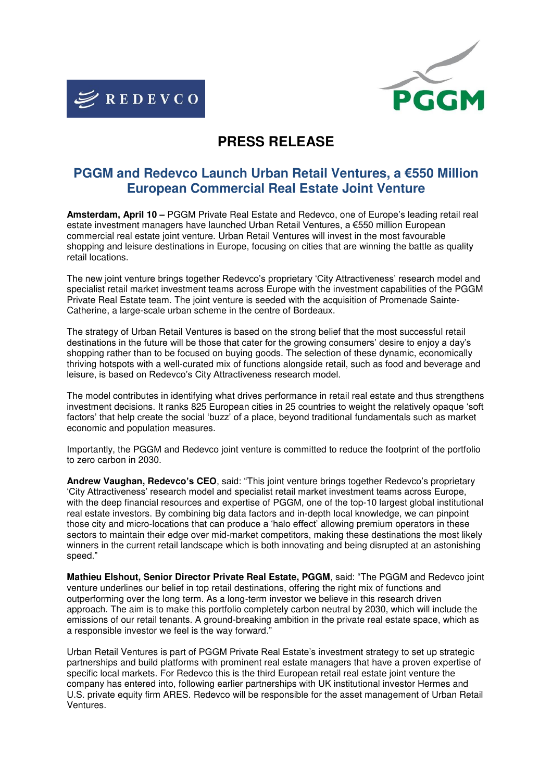



# **PRESS RELEASE**

# **PGGM and Redevco Launch Urban Retail Ventures, a €550 Million European Commercial Real Estate Joint Venture**

**Amsterdam, April 10 –** PGGM Private Real Estate and Redevco, one of Europe's leading retail real estate investment managers have launched Urban Retail Ventures, a €550 million European commercial real estate joint venture. Urban Retail Ventures will invest in the most favourable shopping and leisure destinations in Europe, focusing on cities that are winning the battle as quality retail locations.

The new joint venture brings together Redevco's proprietary 'City Attractiveness' research model and specialist retail market investment teams across Europe with the investment capabilities of the PGGM Private Real Estate team. The joint venture is seeded with the acquisition of Promenade Sainte-Catherine, a large-scale urban scheme in the centre of Bordeaux.

The strategy of Urban Retail Ventures is based on the strong belief that the most successful retail destinations in the future will be those that cater for the growing consumers' desire to enjoy a day's shopping rather than to be focused on buying goods. The selection of these dynamic, economically thriving hotspots with a well-curated mix of functions alongside retail, such as food and beverage and leisure, is based on Redevco's City Attractiveness research model.

The model contributes in identifying what drives performance in retail real estate and thus strengthens investment decisions. It ranks 825 European cities in 25 countries to weight the relatively opaque 'soft factors' that help create the social 'buzz' of a place, beyond traditional fundamentals such as market economic and population measures.

Importantly, the PGGM and Redevco joint venture is committed to reduce the footprint of the portfolio to zero carbon in 2030.

**Andrew Vaughan, Redevco's CEO**, said: "This joint venture brings together Redevco's proprietary 'City Attractiveness' research model and specialist retail market investment teams across Europe, with the deep financial resources and expertise of PGGM, one of the top-10 largest global institutional real estate investors. By combining big data factors and in-depth local knowledge, we can pinpoint those city and micro-locations that can produce a 'halo effect' allowing premium operators in these sectors to maintain their edge over mid-market competitors, making these destinations the most likely winners in the current retail landscape which is both innovating and being disrupted at an astonishing speed."

**Mathieu Elshout, Senior Director Private Real Estate, PGGM**, said: "The PGGM and Redevco joint venture underlines our belief in top retail destinations, offering the right mix of functions and outperforming over the long term. As a long-term investor we believe in this research driven approach. The aim is to make this portfolio completely carbon neutral by 2030, which will include the emissions of our retail tenants. A ground-breaking ambition in the private real estate space, which as a responsible investor we feel is the way forward."

Urban Retail Ventures is part of PGGM Private Real Estate's investment strategy to set up strategic partnerships and build platforms with prominent real estate managers that have a proven expertise of specific local markets. For Redevco this is the third European retail real estate joint venture the company has entered into, following earlier partnerships with UK institutional investor Hermes and U.S. private equity firm ARES. Redevco will be responsible for the asset management of Urban Retail Ventures.